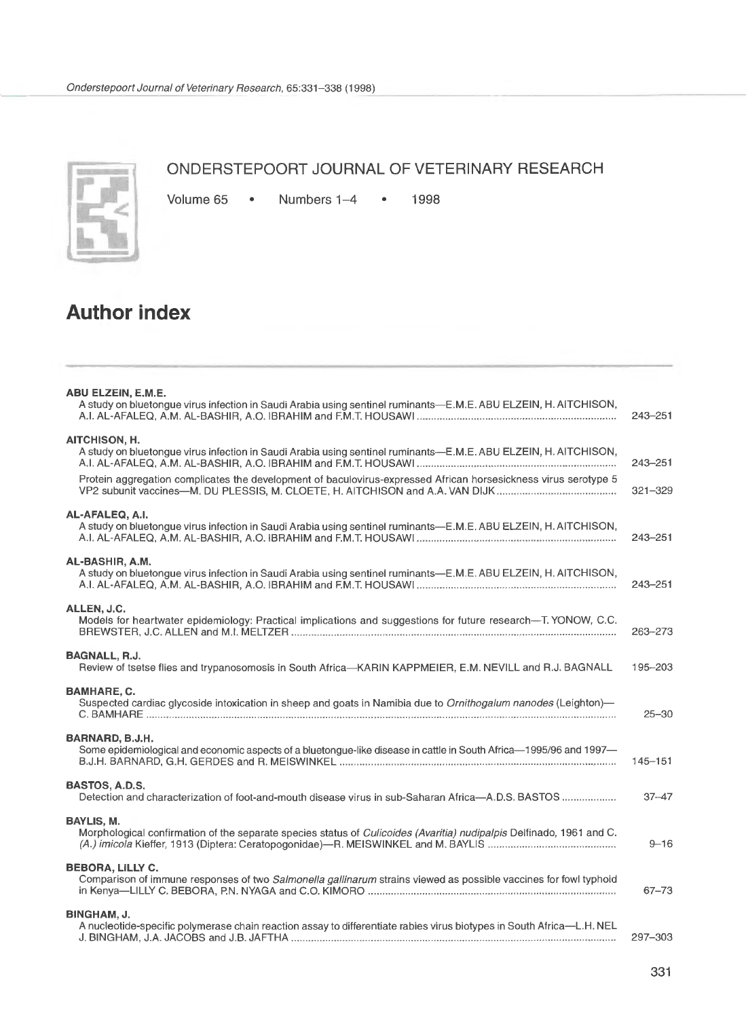

## **ONDERSTEPOORT JOURNAL OF VETERINARY RESEARCH**

Volume 65 • Numbers 1-4 • 1998

## **Author index**

| ABU ELZEIN, E.M.E.<br>A study on bluetongue virus infection in Saudi Arabia using sentinel ruminants—E.M.E. ABU ELZEIN, H. AITCHISON,<br>243-251                                                                                                                                     |           |
|--------------------------------------------------------------------------------------------------------------------------------------------------------------------------------------------------------------------------------------------------------------------------------------|-----------|
| <b>AITCHISON, H.</b><br>A study on bluetongue virus infection in Saudi Arabia using sentinel ruminants—E.M.E. ABU ELZEIN, H. AITCHISON,<br>243-251<br>Protein aggregation complicates the development of baculovirus-expressed African horsesickness virus serotype 5<br>$321 - 329$ |           |
| AL-AFALEQ, A.I.<br>A study on bluetongue virus infection in Saudi Arabia using sentinel ruminants—E.M.E. ABU ELZEIN, H. AITCHISON,<br>243-251                                                                                                                                        |           |
| AL-BASHIR, A.M.<br>A study on bluetongue virus infection in Saudi Arabia using sentinel ruminants—E.M.E. ABU ELZEIN, H. AITCHISON,<br>$243 - 251$                                                                                                                                    |           |
| ALLEN, J.C.<br>Models for heartwater epidemiology: Practical implications and suggestions for future research-T. YONOW, C.C.<br>263-273                                                                                                                                              |           |
| <b>BAGNALL, R.J.</b><br>Review of tsetse flies and trypanosomosis in South Africa-KARIN KAPPMEIER, E.M. NEVILL and R.J. BAGNALL<br>195-203                                                                                                                                           |           |
| <b>BAMHARE, C.</b><br>Suspected cardiac glycoside intoxication in sheep and goats in Namibia due to Ornithogalum nanodes (Leighton)—                                                                                                                                                 | $25 - 30$ |
| BARNARD, B.J.H.<br>Some epidemiological and economic aspects of a bluetongue-like disease in cattle in South Africa-1995/96 and 1997-<br>$145 - 151$                                                                                                                                 |           |
| <b>BASTOS, A.D.S.</b><br>Detection and characterization of foot-and-mouth disease virus in sub-Saharan Africa—A.D.S. BASTOS                                                                                                                                                          | $37 - 47$ |
| <b>BAYLIS, M.</b><br>Morphological confirmation of the separate species status of Culicoides (Avaritia) nudipalpis Delfinado, 1961 and C.                                                                                                                                            | $9 - 16$  |
| <b>BEBORA, LILLY C.</b><br>Comparison of immune responses of two Salmonella gallinarum strains viewed as possible vaccines for fowl typhoid                                                                                                                                          | $67 - 73$ |
| <b>BINGHAM, J.</b><br>A nucleotide-specific polymerase chain reaction assay to differentiate rabies virus biotypes in South Africa-L.H. NEL<br>297-303                                                                                                                               |           |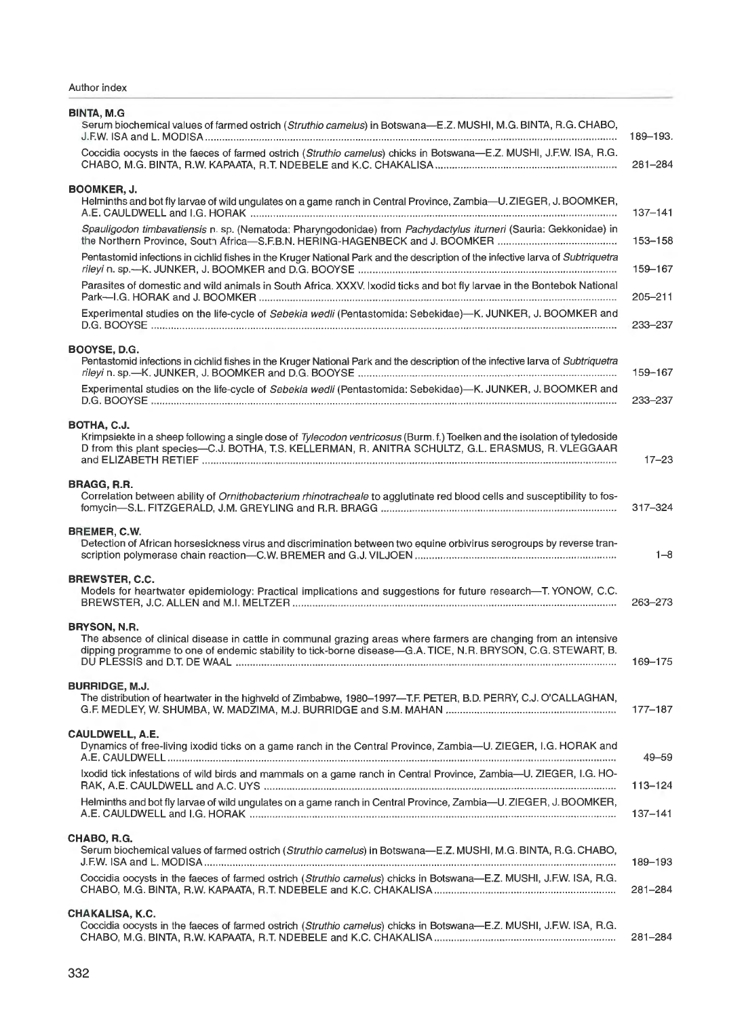Author index

| <b>BINTA, M.G</b><br>Serum biochemical values of farmed ostrich (Struthio camelus) in Botswana-E.Z. MUSHI, M.G. BINTA, R.G. CHABO,                                                                                                               | 189-193.    |
|--------------------------------------------------------------------------------------------------------------------------------------------------------------------------------------------------------------------------------------------------|-------------|
| Coccidia oocysts in the faeces of farmed ostrich (Struthio camelus) chicks in Botswana-E.Z. MUSHI, J.F.W. ISA, R.G.                                                                                                                              | 281-284     |
| BOOMKER, J.<br>Helminths and bot fly larvae of wild ungulates on a game ranch in Central Province, Zambia—U. ZIEGER, J. BOOMKER,                                                                                                                 | $137 - 141$ |
| Spauligodon timbavatiensis n. sp. (Nematoda: Pharyngodonidae) from Pachydactylus iturneri (Sauria: Gekkonidae) in                                                                                                                                | 153-158     |
| Pentastomid infections in cichlid fishes in the Kruger National Park and the description of the infective larva of Subtriquetra                                                                                                                  | 159–167     |
| Parasites of domestic and wild animals in South Africa. XXXV. Ixodid ticks and bot fly larvae in the Bontebok National                                                                                                                           | $205 - 211$ |
| Experimental studies on the life-cycle of Sebekia wedli (Pentastomida: Sebekidae)-K. JUNKER, J. BOOMKER and                                                                                                                                      | 233-237     |
| BOOYSE, D.G.<br>Pentastomid infections in cichlid fishes in the Kruger National Park and the description of the infective larva of Subtriquetra                                                                                                  | 159-167     |
| Experimental studies on the life-cycle of Sebekia wedli (Pentastomida: Sebekidae)-K. JUNKER, J. BOOMKER and                                                                                                                                      | 233-237     |
| BOTHA, C.J.<br>Krimpsiekte in a sheep following a single dose of Tylecodon ventricosus (Burm.f.) Toelken and the isolation of tyledoside<br>D from this plant species-C.J. BOTHA, T.S. KELLERMAN, R. ANITRA SCHULTZ, G.L. ERASMUS, R. VLEGGAAR   | $17 - 23$   |
| <b>BRAGG, R.R.</b><br>Correlation between ability of Ornithobacterium rhinotracheale to agglutinate red blood cells and susceptibility to fos-                                                                                                   | 317-324     |
| <b>BREMER, C.W.</b><br>Detection of African horsesickness virus and discrimination between two equine orbivirus serogroups by reverse tran-                                                                                                      | $1 - 8$     |
| <b>BREWSTER, C.C.</b><br>Models for heartwater epidemiology: Practical implications and suggestions for future research-T. YONOW, C.C.                                                                                                           | 263-273     |
| BRYSON, N.R.<br>The absence of clinical disease in cattle in communal grazing areas where farmers are changing from an intensive<br>dipping programme to one of endemic stability to tick-borne disease-G.A. TICE, N.R. BRYSON, C.G. STEWART, B. | 169-175     |
| <b>BURRIDGE, M.J.</b><br>The distribution of heartwater in the highveld of Zimbabwe, 1980–1997—T.F. PETER, B.D. PERRY, C.J. O'CALLAGHAN,                                                                                                         | 177-187     |
| CAULDWELL, A.E.<br>Dynamics of free-living ixodid ticks on a game ranch in the Central Province, Zambia-U. ZIEGER, I.G. HORAK and                                                                                                                | $49 - 59$   |
| Ixodid tick infestations of wild birds and mammals on a game ranch in Central Province, Zambia-U. ZIEGER, I.G. HO-                                                                                                                               | 113-124     |
| Helminths and bot fly larvae of wild ungulates on a game ranch in Central Province, Zambia-U. ZIEGER, J. BOOMKER,                                                                                                                                | $137 - 141$ |
| CHABO, R.G.<br>Serum biochemical values of farmed ostrich (Struthio camelus) in Botswana—E.Z. MUSHI, M.G. BINTA, R.G. CHABO,                                                                                                                     | 189-193     |
| Coccidia oocysts in the faeces of farmed ostrich (Struthio camelus) chicks in Botswana-E.Z. MUSHI, J.F.W. ISA, R.G.                                                                                                                              | 281-284     |
| <b>CHAKALISA, K.C.</b><br>Coccidia oocysts in the faeces of farmed ostrich (Struthio camelus) chicks in Botswana—E.Z. MUSHI, J.F.W. ISA, R.G.                                                                                                    | 281-284     |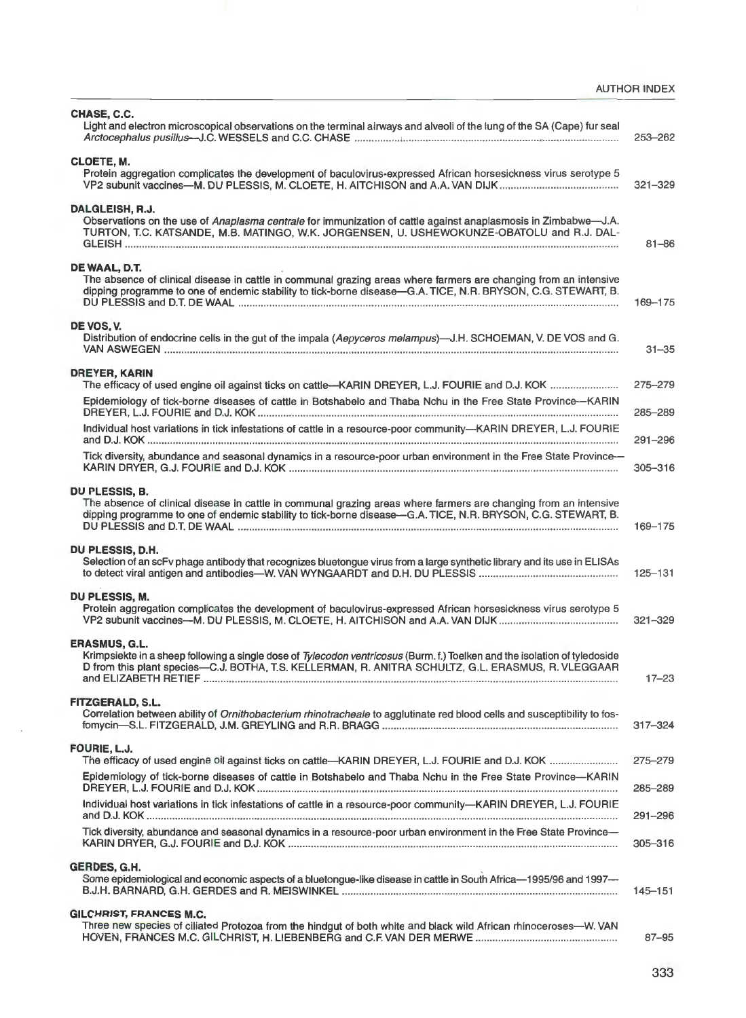## AUTHOR INDEX

| CHASE, C.C.<br>Light and electron microscopical observations on the terminal airways and alveoli of the lung of the SA (Cape) fur seal                                                                                                                   | 253-262     |
|----------------------------------------------------------------------------------------------------------------------------------------------------------------------------------------------------------------------------------------------------------|-------------|
| CLOETE, M.<br>Protein aggregation complicates the development of baculovirus-expressed African horsesickness virus serotype 5                                                                                                                            | $321 - 329$ |
| <b>DALGLEISH, R.J.</b><br>Observations on the use of Anaplasma centrale for immunization of cattle against anaplasmosis in Zimbabwe-J.A.<br>TURTON, T.C. KATSANDE, M.B. MATINGO, W.K. JORGENSEN, U. USHEWOKUNZE-OBATOLU and R.J. DAL-                    | $81 - 86$   |
| DE WAAL, D.T.<br>The absence of clinical disease in cattle in communal grazing areas where farmers are changing from an intensive<br>dipping programme to one of endemic stability to tick-borne disease-G.A. TICE, N.R. BRYSON, C.G. STEWART, B.        | 169-175     |
| DE VOS, V.<br>Distribution of endocrine cells in the gut of the impala (Aepyceros melampus)-J.H. SCHOEMAN, V. DE VOS and G.                                                                                                                              | $31 - 35$   |
| <b>DREYER, KARIN</b><br>The efficacy of used engine oil against ticks on cattle—KARIN DREYER, L.J. FOURIE and D.J. KOK                                                                                                                                   | $275 - 279$ |
| Epidemiology of tick-borne diseases of cattle in Botshabelo and Thaba Nchu in the Free State Province-KARIN                                                                                                                                              | 285-289     |
| Individual host variations in tick infestations of cattle in a resource-poor community-KARIN DREYER, L.J. FOURIE                                                                                                                                         | $291 - 296$ |
| Tick diversity, abundance and seasonal dynamics in a resource-poor urban environment in the Free State Province-                                                                                                                                         | 305-316     |
| DU PLESSIS, B.<br>The absence of clinical disease in cattle in communal grazing areas where farmers are changing from an intensive<br>dipping programme to one of endemic stability to tick-borne disease-G.A. TICE, N.R. BRYSON, C.G. STEWART, B.       | 169-175     |
| DU PLESSIS, D.H.<br>Selection of an scFv phage antibody that recognizes bluetongue virus from a large synthetic library and its use in ELISAs                                                                                                            | 125-131     |
| DU PLESSIS, M.<br>Protein aggregation complicates the development of baculovirus-expressed African horsesickness virus serotype 5                                                                                                                        | $321 - 329$ |
| <b>ERASMUS, G.L.</b><br>Krimpsiekte in a sheep following a single dose of Tylecodon ventricosus (Burm. f.) Toelken and the isolation of tyledoside<br>D from this plant species-C.J. BOTHA, T.S. KELLERMAN, R. ANITRA SCHULTZ, G.L. ERASMUS, R. VLEGGAAR | $17 - 23$   |
| FITZGERALD, S.L.<br>Correlation between ability of Ornithobacterium rhinotracheale to agglutinate red blood cells and susceptibility to fos-                                                                                                             | $317 - 324$ |
| FOURIE, L.J.<br>The efficacy of used engine oil against ticks on cattle-KARIN DREYER, L.J. FOURIE and D.J. KOK                                                                                                                                           | 275-279     |
| Epidemiology of tick-borne diseases of cattle in Botshabelo and Thaba Nchu in the Free State Province-KARIN                                                                                                                                              | 285-289     |
| Individual host variations in tick infestations of cattle in a resource-poor community-KARIN DREYER, L.J. FOURIE                                                                                                                                         | 291-296     |
| Tick diversity, abundance and seasonal dynamics in a resource-poor urban environment in the Free State Province-                                                                                                                                         | 305-316     |
| GERDES, G.H.<br>Some epidemiological and economic aspects of a bluetongue-like disease in cattle in South Africa-1995/96 and 1997-                                                                                                                       | $145 - 151$ |
| <b>GILCHRIST, FRANCES M.C.</b><br>Three new species of ciliated Protozoa from the hindgut of both white and black wild African rhinoceroses-W. VAN                                                                                                       | 87-95       |

l,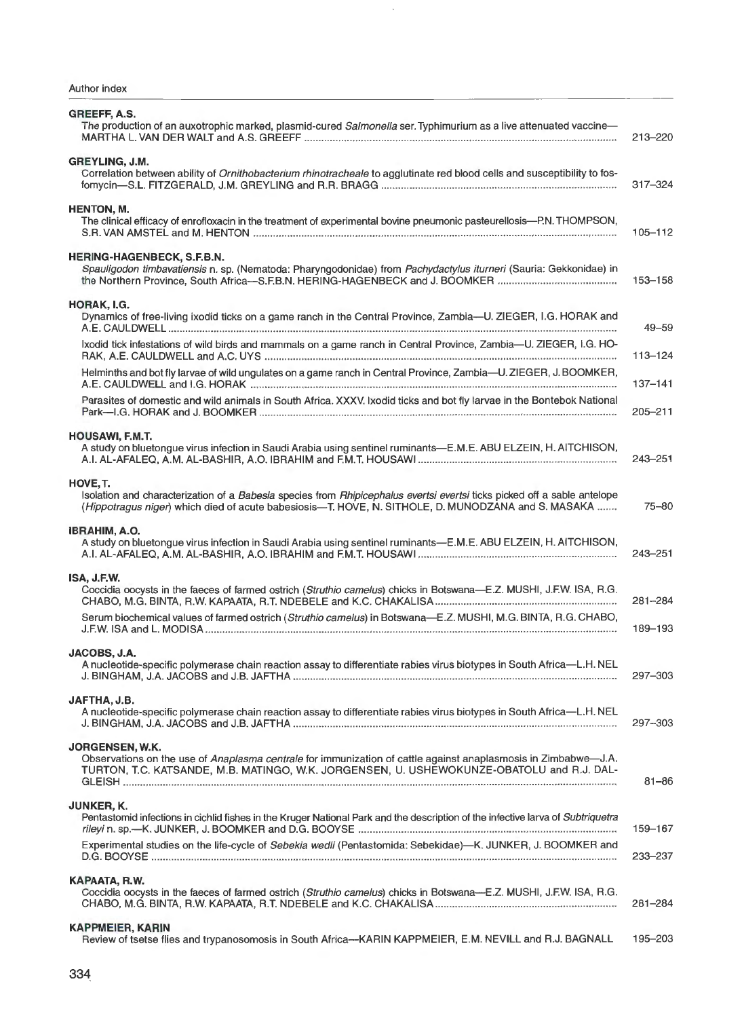| GREEFF, A.S.<br>The production of an auxotrophic marked, plasmid-cured Salmonella ser. Typhimurium as a live attenuated vaccine-                                                                                                           | 213-220     |
|--------------------------------------------------------------------------------------------------------------------------------------------------------------------------------------------------------------------------------------------|-------------|
| GREYLING, J.M.<br>Correlation between ability of Ornithobacterium rhinotracheale to agglutinate red blood cells and susceptibility to fos-                                                                                                 | $317 - 324$ |
| <b>HENTON, M.</b><br>The clinical efficacy of enrofloxacin in the treatment of experimental bovine pneumonic pasteurellosis-P.N. THOMPSON,                                                                                                 | $105 - 112$ |
| <b>HERING-HAGENBECK, S.F.B.N.</b><br>Spauligodon timbavatiensis n. sp. (Nematoda: Pharyngodonidae) from Pachydactylus iturneri (Sauria: Gekkonidae) in                                                                                     | 153-158     |
| HORAK, I.G.<br>Dynamics of free-living ixodid ticks on a game ranch in the Central Province, Zambia—U. ZIEGER, I.G. HORAK and                                                                                                              | 49–59       |
| Ixodid tick infestations of wild birds and mammals on a game ranch in Central Province, Zambia-U. ZIEGER, I.G. HO-                                                                                                                         | $113 - 124$ |
| Helminths and bot fly larvae of wild ungulates on a game ranch in Central Province, Zambia-U.ZIEGER, J.BOOMKER,                                                                                                                            | $137 - 141$ |
| Parasites of domestic and wild animals in South Africa. XXXV. Ixodid ticks and bot fly larvae in the Bontebok National                                                                                                                     | 205-211     |
| <b>HOUSAWI, F.M.T.</b><br>A study on bluetongue virus infection in Saudi Arabia using sentinel ruminants-E.M.E. ABU ELZEIN, H. AITCHISON,                                                                                                  | 243-251     |
| HOVE, T.<br>Isolation and characterization of a Babesia species from Rhipicephalus evertsi evertsi ticks picked off a sable antelope<br>(Hippotragus niger) which died of acute babesiosis—T. HOVE, N. SITHOLE, D. MUNODZANA and S. MASAKA | $75 - 80$   |
| IBRAHIM, A.O.<br>A study on bluetongue virus infection in Saudi Arabia using sentinel ruminants—E.M.E. ABU ELZEIN, H. AITCHISON,                                                                                                           | 243-251     |
| ISA, J.F.W.<br>Coccidia oocysts in the faeces of farmed ostrich (Struthio camelus) chicks in Botswana—E.Z. MUSHI, J.F.W. ISA, R.G.                                                                                                         | 281-284     |
| Serum biochemical values of farmed ostrich (Struthio camelus) in Botswana-E.Z. MUSHI, M.G. BINTA, R.G. CHABO,                                                                                                                              | 189-193     |
| JACOBS, J.A.<br>A nucleotide-specific polymerase chain reaction assay to differentiate rabies virus biotypes in South Africa-L.H. NEL                                                                                                      | 297-303     |
| JAFTHA, J.B.<br>A nucleotide-specific polymerase chain reaction assay to differentiate rabies virus biotypes in South Africa-L.H. NEL                                                                                                      | 297-303     |
| JORGENSEN, W.K.<br>Observations on the use of Anaplasma centrale for immunization of cattle against anaplasmosis in Zimbabwe-J.A.<br>TURTON, T.C. KATSANDE, M.B. MATINGO, W.K. JORGENSEN, U. USHEWOKUNZE-OBATOLU and R.J. DAL-             | $81 - 86$   |
| JUNKER, K.<br>Pentastomid infections in cichlid fishes in the Kruger National Park and the description of the infective larva of Subtriquetra                                                                                              | 159-167     |
| Experimental studies on the life-cycle of Sebekia wedli (Pentastomida: Sebekidae)-K. JUNKER, J. BOOMKER and                                                                                                                                | 233-237     |
| KAPAATA, R.W.<br>Coccidia oocysts in the faeces of farmed ostrich (Struthio camelus) chicks in Botswana-E.Z. MUSHI, J.F.W. ISA, R.G.                                                                                                       | $281 - 284$ |
| <b>KAPPMEIER, KARIN</b><br>Review of tsetse flies and trypanosomosis in South Africa---KARIN KAPPMEIER, E.M. NEVILL and R.J. BAGNALL                                                                                                       | 195-203     |

 $\bar{\gamma}$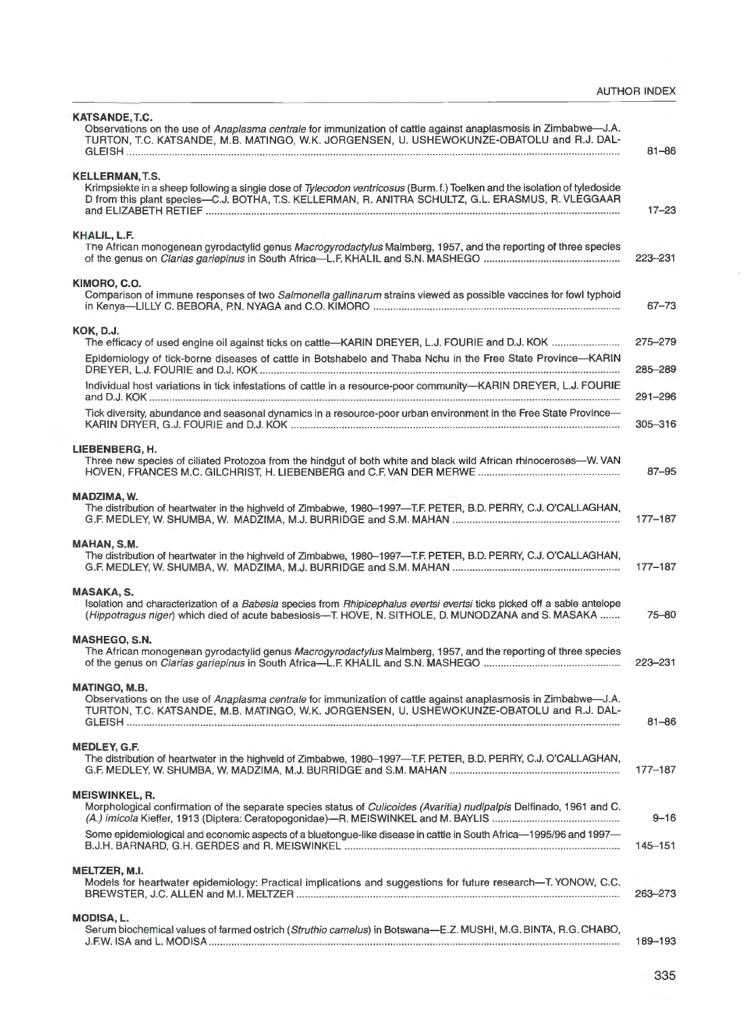| <b>KATSANDE, T.C.</b><br>Observations on the use of Anaplasma centrale for immunization of cattle against anaplasmosis in Zimbabwe-J.A.<br>TURTON, T.C. KATSANDE, M.B. MATINGO, W.K. JORGENSEN, U. USHEWOKUNZE-OBATOLU and R.J. DAL-                | $81 - 86$                  |
|-----------------------------------------------------------------------------------------------------------------------------------------------------------------------------------------------------------------------------------------------------|----------------------------|
| <b>KELLERMAN, T.S.</b>                                                                                                                                                                                                                              |                            |
| Krimpsiekte in a sheep following a single dose of Tylecodon ventricosus (Burm.f.) Toelken and the isolation of tyledoside<br>D from this plant species-C.J. BOTHA, T.S. KELLERMAN, R. ANITRA SCHULTZ, G.L. ERASMUS, R. VLEGGAAR                     | $17 - 23$                  |
| KHALIL, L.F.<br>The African monogenean gyrodactylid genus Macrogyrodactylus Malmberg, 1957, and the reporting of three species                                                                                                                      | 223-231                    |
| KIMORO, C.O.<br>Comparison of immune responses of two Salmonella gallinarum strains viewed as possible vaccines for fowl typhoid                                                                                                                    | $67 - 73$                  |
| <b>KOK, D.J.</b>                                                                                                                                                                                                                                    | 275-279                    |
| Epidemiology of tick-borne diseases of cattle in Botshabelo and Thaba Nchu in the Free State Province-KARIN                                                                                                                                         |                            |
| Individual host variations in tick infestations of cattle in a resource-poor community-KARIN DREYER, L.J. FOURIE                                                                                                                                    | 285-289                    |
| Tick diversity, abundance and seasonal dynamics in a resource-poor urban environment in the Free State Province-                                                                                                                                    | $291 - 296$<br>$305 - 316$ |
|                                                                                                                                                                                                                                                     |                            |
| LIEBENBERG, H.<br>Three new species of ciliated Protozoa from the hindgut of both white and black wild African rhinoceroses—W. VAN                                                                                                                  | $87 - 95$                  |
| MADZIMA, W.<br>The distribution of heartwater in the highveld of Zimbabwe, 1980-1997-T.F. PETER, B.D. PERRY, C.J. O'CALLAGHAN,                                                                                                                      | $177 - 187$                |
| MAHAN, S.M.<br>The distribution of heartwater in the highveld of Zimbabwe, 1980-1997-T.F. PETER, B.D. PERRY, C.J. O'CALLAGHAN,                                                                                                                      | $177 - 187$                |
| <b>MASAKA, S.</b><br>Isolation and characterization of a Babesia species from Rhipicephalus evertsi evertsi ticks picked off a sable antelope<br>(Hippotragus niger) which died of acute babesiosis—T. HOVE, N. SITHOLE, D. MUNODZANA and S. MASAKA | 75-80                      |
| <b>MASHEGO, S.N.</b><br>The African monogenean gyrodactylid genus Macrogyrodactylus Malmberg, 1957, and the reporting of three species                                                                                                              | 223-231                    |
| <b>MATINGO, M.B.</b><br>Observations on the use of Anaplasma centrale for immunization of cattle against anaplasmosis in Zimbabwe—J.A.<br>TURTON, T.C. KATSANDE, M.B. MATINGO, W.K. JORGENSEN, U. USHEWOKUNZE-OBATOLU and R.J. DAL-                 | $81 - 86$                  |
| <b>MEDLEY, G.F.</b><br>The distribution of heartwater in the highveld of Zimbabwe, 1980-1997-T.F. PETER, B.D. PERRY, C.J. O'CALLAGHAN,                                                                                                              | $177 - 187$                |
| <b>MEISWINKEL, R.</b><br>Morphological confirmation of the separate species status of Culicoides (Avaritia) nudipalpis Delfinado, 1961 and C.                                                                                                       | $9 - 16$                   |
| Some epidemiological and economic aspects of a bluetongue-like disease in cattle in South Africa--1995/96 and 1997-                                                                                                                                 | 145-151                    |
| MELTZER, M.I.<br>Models for heartwater epidemiology: Practical implications and suggestions for future research-T. YONOW, C.C.                                                                                                                      | 263-273                    |
| <b>MODISA, L.</b><br>Serum biochemical values of farmed ostrich (Struthio camelus) in Botswana—E.Z. MUSHI, M.G. BINTA, R.G. CHABO,                                                                                                                  | 189-193                    |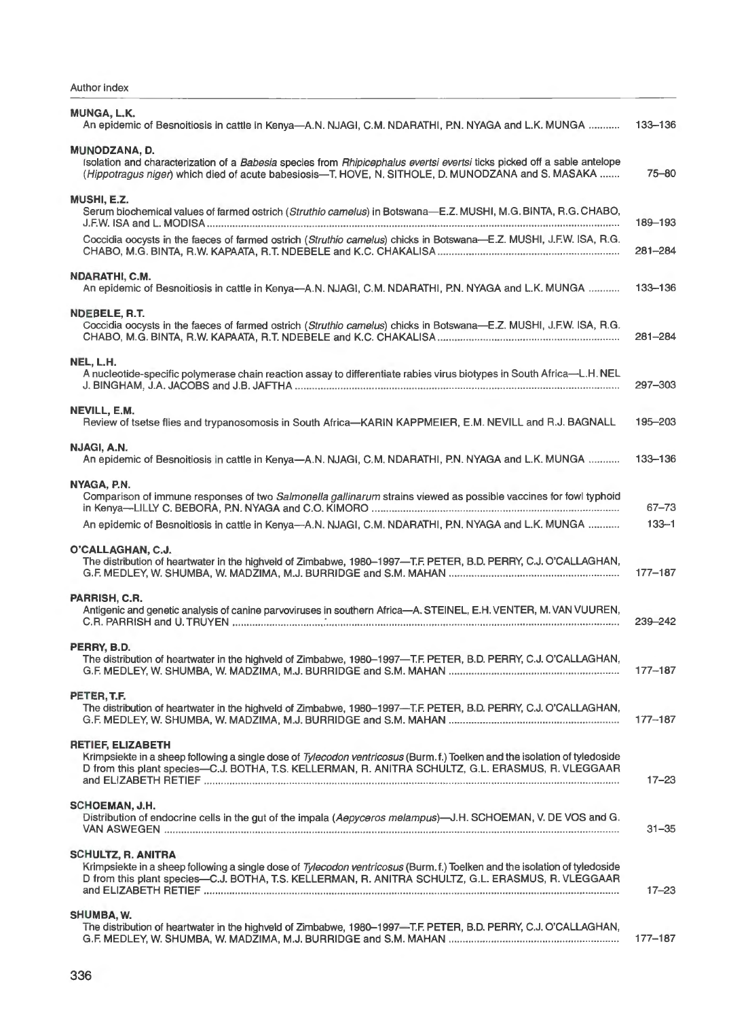Author index

| <b>MUNGA, L.K.</b><br>An epidemic of Besnoitiosis in cattle in Kenya-A.N. NJAGI, C.M. NDARATHI, P.N. NYAGA and L.K. MUNGA                                                                                                                                    | 133-136     |
|--------------------------------------------------------------------------------------------------------------------------------------------------------------------------------------------------------------------------------------------------------------|-------------|
| MUNODZANA. D.<br>Isolation and characterization of a Babesia species from Rhipicephalus evertsi evertsi ticks picked off a sable antelope<br>(Hippotragus niger) which died of acute babesiosis-T. HOVE, N. SITHOLE, D. MUNODZANA and S. MASAKA              | $75 - 80$   |
| MUSHI, E.Z.<br>Serum biochemical values of farmed ostrich (Struthio camelus) in Botswana-E.Z. MUSHI, M.G. BINTA, R.G. CHABO,                                                                                                                                 | 189-193     |
| Coccidia oocysts in the faeces of farmed ostrich (Struthio camelus) chicks in Botswana-E.Z. MUSHI, J.F.W. ISA, R.G.                                                                                                                                          | 281-284     |
| NDARATHI, C.M.<br>An epidemic of Besnoitiosis in cattle in Kenya--A.N. NJAGI, C.M. NDARATHI, P.N. NYAGA and L.K. MUNGA                                                                                                                                       | 133-136     |
| NDEBELE, R.T.<br>Coccidia oocysts in the faeces of farmed ostrich (Struthio camelus) chicks in Botswana-E.Z. MUSHI, J.F.W. ISA, R.G.                                                                                                                         | $281 - 284$ |
| NEL, L.H.<br>A nucleotide-specific polymerase chain reaction assay to differentiate rabies virus biotypes in South Africa-L.H. NEL                                                                                                                           | 297-303     |
| NEVILL, E.M.<br>Review of tsetse flies and trypanosomosis in South Africa-KARIN KAPPMEIER, E.M. NEVILL and R.J. BAGNALL                                                                                                                                      | 195-203     |
| NJAGI, A.N.<br>An epidemic of Besnoitiosis in cattle in Kenya-A.N. NJAGI, C.M. NDARATHI, P.N. NYAGA and L.K. MUNGA                                                                                                                                           | 133-136     |
| NYAGA, P.N.<br>Comparison of immune responses of two Salmonella gallinarum strains viewed as possible vaccines for fowl typhoid                                                                                                                              | $67 - 73$   |
| An epidemic of Besnoitiosis in cattle in Kenya-A.N. NJAGI, C.M. NDARATHI, P.N. NYAGA and L.K. MUNGA                                                                                                                                                          | $133 - 1$   |
| O'CALLAGHAN, C.J.<br>The distribution of heartwater in the highveld of Zimbabwe, 1980-1997-T.F. PETER, B.D. PERRY, C.J. O'CALLAGHAN,                                                                                                                         | $177 - 187$ |
| PARRISH, C.R.<br>Antigenic and genetic analysis of canine parvoviruses in southern Africa-A. STEINEL, E.H. VENTER, M. VAN VUUREN,                                                                                                                            | 239-242     |
| PERRY, B.D.<br>The distribution of heartwater in the highveld of Zimbabwe, 1980-1997-T.F. PETER, B.D. PERRY, C.J. O'CALLAGHAN,                                                                                                                               | $177 - 187$ |
| PETER, T.F.<br>The distribution of heartwater in the highveld of Zimbabwe, 1980-1997-T.F. PETER, B.D. PERRY, C.J. O'CALLAGHAN,                                                                                                                               | $177 - 187$ |
| <b>RETIEF, ELIZABETH</b><br>Krimpsiekte in a sheep following a single dose of Tylecodon ventricosus (Burm.f.) Toelken and the isolation of tyledoside<br>D from this plant species-C.J. BOTHA, T.S. KELLERMAN, R. ANITRA SCHULTZ, G.L. ERASMUS, R. VLEGGAAR  | $17 - 23$   |
| <b>SCHOEMAN, J.H.</b><br>Distribution of endocrine cells in the gut of the impala (Aepyceros melampus)—J.H. SCHOEMAN, V. DE VOS and G.                                                                                                                       | $31 - 35$   |
| <b>SCHULTZ, R. ANITRA</b><br>Krimpsiekte in a sheep following a single dose of Tylecodon ventricosus (Burm.f.) Toelken and the isolation of tyledoside<br>D from this plant species-C.J. BOTHA, T.S. KELLERMAN, R. ANITRA SCHULTZ, G.L. ERASMUS, R. VLEGGAAR | $17 - 23$   |
| SHUMBA, W.<br>The distribution of heartwater in the highveld of Zimbabwe, 1980-1997-T.F. PETER, B.D. PERRY, C.J. O'CALLAGHAN,                                                                                                                                | $177 - 187$ |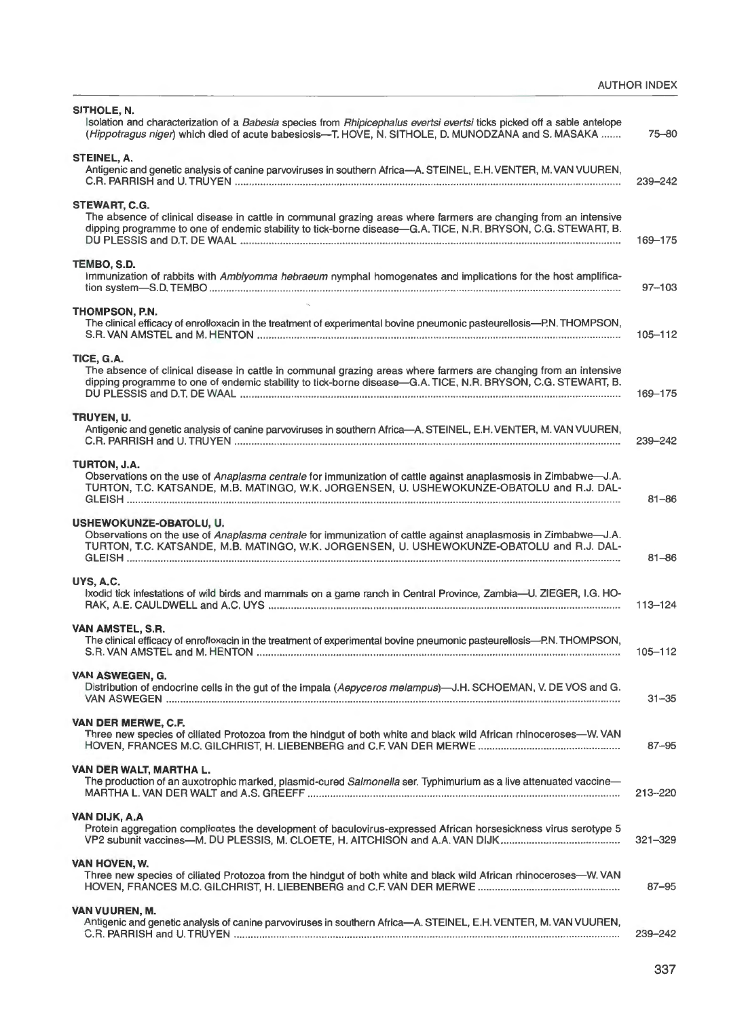| SITHOLE, N.<br>Isolation and characterization of a Babesia species from Rhipicephalus evertsi evertsi ticks picked off a sable antelope<br>(Hippotragus niger) which died of acute babesiosis—T. HOVE, N. SITHOLE, D. MUNODZANA and S. MASAKA     | 75-80       |
|---------------------------------------------------------------------------------------------------------------------------------------------------------------------------------------------------------------------------------------------------|-------------|
| STEINEL, A.<br>Antigenic and genetic analysis of canine parvoviruses in southern Africa-A. STEINEL, E.H. VENTER, M. VAN VUUREN,                                                                                                                   | 239-242     |
| STEWART, C.G.<br>The absence of clinical disease in cattle in communal grazing areas where farmers are changing from an intensive<br>dipping programme to one of endemic stability to tick-borne disease-G.A. TICE, N.R. BRYSON, C.G. STEWART, B. | 169 - 175   |
| TEMBO, S.D.<br>Immunization of rabbits with Amblyomma hebraeum nymphal homogenates and implications for the host amplifica-                                                                                                                       | $97 - 103$  |
| <b>THOMPSON, P.N.</b><br>The clinical efficacy of enrofloxacin in the treatment of experimental bovine pneumonic pasteurellosis—P.N. THOMPSON,                                                                                                    | $105 - 112$ |
| TICE, G.A.<br>The absence of clinical disease in cattle in communal grazing areas where farmers are changing from an intensive<br>dipping programme to one of endemic stability to tick-borne disease-G.A. TICE, N.R. BRYSON, C.G. STEWART, B.    | 169-175     |
| TRUYEN, U.<br>Antigenic and genetic analysis of canine parvoviruses in southern Africa-A. STEINEL, E.H. VENTER, M. VAN VUUREN,                                                                                                                    | 239-242     |
| TURTON, J.A.<br>Observations on the use of Anaplasma centrale for immunization of cattle against anaplasmosis in Zimbabwe-J.A.<br>TURTON, T.C. KATSANDE, M.B. MATINGO, W.K. JORGENSEN, U. USHEWOKUNZE-OBATOLU and R.J. DAL-                       | $81 - 86$   |
| USHEWOKUNZE-OBATOLU, U.<br>Observations on the use of Anaplasma centrale for immunization of cattle against anaplasmosis in Zimbabwe—J.A.<br>TURTON, T.C. KATSANDE, M.B. MATINGO, W.K. JORGENSEN, U. USHEWOKUNZE-OBATOLU and R.J. DAL-            | $81 - 86$   |
| UYS, A.C.<br>Ixodid tick infestations of wild birds and mammals on a game ranch in Central Province, Zambia-U. ZIEGER, I.G. HO-                                                                                                                   | $113 - 124$ |
| VAN AMSTEL, S.R.<br>The clinical efficacy of enrofloxacin in the treatment of experimental bovine pneumonic pasteurellosis-P.N.THOMPSON,                                                                                                          | 105-112     |
| VAN ASWEGEN, G.<br>Distribution of endocrine cells in the gut of the impala (Aepyceros melampus)-J.H. SCHOEMAN, V. DE VOS and G.                                                                                                                  | $31 - 35$   |
| VAN DER MERWE, C.F.<br>Three new species of ciliated Protozoa from the hindgut of both white and black wild African rhinoceroses-W. VAN                                                                                                           | $87 - 95$   |
| VAN DER WALT, MARTHA L.<br>The production of an auxotrophic marked, plasmid-cured Salmonella ser. Typhimurium as a live attenuated vaccine-                                                                                                       | 213-220     |
| VAN DIJK, A.A.<br>Protein aggregation complicates the development of baculovirus-expressed African horsesickness virus serotype 5                                                                                                                 | $321 - 329$ |
| VAN HOVEN, W.<br>Three new species of ciliated Protozoa from the hindgut of both white and black wild African rhinoceroses—W. VAN                                                                                                                 | 87–95       |
| <b>VAN VUUREN, M.</b><br>Antigenic and genetic analysis of canine parvoviruses in southern Africa-A. STEINEL, E.H. VENTER, M. VAN VUUREN,                                                                                                         | 239-242     |